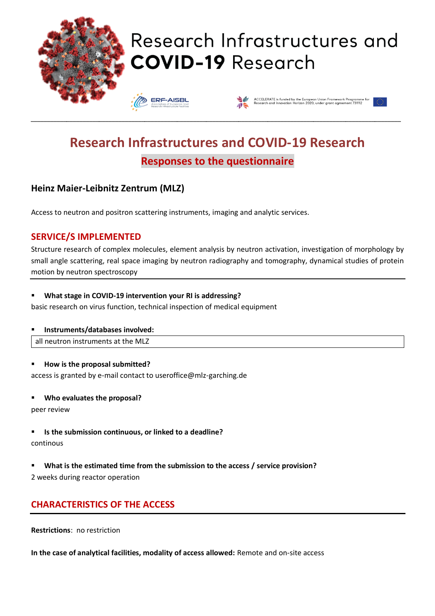

# Research Infrastructures and **COVID-19 Research**

**ERF-AISBI** 



# **Research Infrastructures and COVID-19 Research Responses to the questionnaire**

\_\_\_\_\_\_\_\_\_\_\_\_\_\_\_\_\_\_\_\_\_\_\_\_\_\_\_\_\_\_\_\_\_\_\_\_\_\_\_\_\_\_\_\_\_\_\_\_\_\_\_\_\_\_\_\_\_\_\_\_\_\_\_\_\_\_\_\_\_\_\_\_\_\_\_\_\_\_\_\_\_\_\_\_\_\_\_\_\_\_\_\_\_\_\_\_\_\_\_\_\_\_\_\_\_\_\_\_\_\_\_\_\_\_

# **Heinz Maier-Leibnitz Zentrum (MLZ)**

Access to neutron and positron scattering instruments, imaging and analytic services.

### **SERVICE/S IMPLEMENTED**

Structure research of complex molecules, element analysis by neutron activation, investigation of morphology by small angle scattering, real space imaging by neutron radiography and tomography, dynamical studies of protein motion by neutron spectroscopy

#### ▪ **What stage in COVID-19 intervention your RI is addressing?**

basic research on virus function, technical inspection of medical equipment

#### ▪ **Instruments/databases involved:**

all neutron instruments at the MLZ

#### ▪ **How is the proposal submitted?**

access is granted by e-mail contact to useroffice@mlz-garching.de

#### Who evaluates the proposal?

peer review

▪ **Is the submission continuous, or linked to a deadline?**

#### continous

▪ **What is the estimated time from the submission to the access / service provision?**

2 weeks during reactor operation

# **CHARACTERISTICS OF THE ACCESS**

**Restrictions**: no restriction

**In the case of analytical facilities, modality of access allowed:** Remote and on-site access